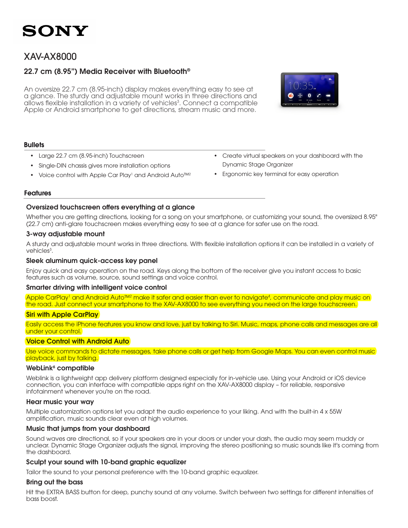### XAV-AX8000

### 22.7 cm (8.95") Media Receiver with Bluetooth®

An oversize 22.7 cm (8.95-inch) display makes everything easy to see at a glance. The sturdy and adjustable mount works in three directions and allows flexible installation in a variety of vehicles<sup>3</sup>. Connect a compatible Apple or Android smartphone to get directions, stream music and more.



#### **Bullets**

- Large 22.7 cm (8.95-inch) Touchscreen
- Single-DIN chassis gives more installation options
- Voice control with Apple Car Play<sup>1</sup> and Android Auto<sup>™2</sup>
- • Create virtual speakers on your dashboard with the Dynamic Stage Organizer
- Ergonomic key terminal for easy operation

#### Features

#### Oversized touchscreen offers everything at a glance

Whether you are getting directions, looking for a song on your smartphone, or customizing your sound, the oversized 8.95" (22.7 cm) anti-glare touchscreen makes everything easy to see at a glance for safer use on the road.

#### 3-way adjustable mount

A sturdy and adjustable mount works in three directions. With flexible installation options it can be installed in a variety of vehicles<sup>3</sup>.

#### Sleek aluminum quick-access key panel

Enjoy quick and easy operation on the road. Keys along the bottom of the receiver give you instant access to basic features such as volume, source, sound settings and voice control.

#### Smarter driving with intelligent voice control

Apple CarPlay<sup>1</sup> and Android Auto™2 make it safer and easier than ever to navigate<sup>4</sup>, communicate and play music on1 the road. Just connect your smartphone to the XAV-AX8000 to see everything you need on the large touchscreen.

#### Siri with Apple CarPlay

Easily access the iPhone features you know and love, just by talking to Siri. Music, maps, phone calls and messages are all under your control.

#### Voice Control with Android Auto

Use voice commands to dictate messages, take phone calls or get help from Google Maps. You can even control music playback, just by talking.

#### WebLink<sup>6</sup> compatible

Weblink is a lightweight app delivery platform designed especially for in-vehicle use. Using your Android or iOS device connection, you can interface with compatible apps right on the XAV-AX8000 display – for reliable, responsive infotainment whenever you're on the road.

#### Hear music your way

Multiple customization options let you adapt the audio experience to your liking. And with the built-in 4 x 55W amplification, music sounds clear even at high volumes.

#### Music that jumps from your dashboard

Sound waves are directional, so if your speakers are in your doors or under your dash, the audio may seem muddy or unclear. Dynamic Stage Organizer adjusts the signal, improving the stereo positioning so music sounds like it's coming from the dashboard.

#### Sculpt your sound with 10-band graphic equalizer

Tailor the sound to your personal preference with the 10-band graphic equalizer.

#### Bring out the bass

Hit the EXTRA BASS button for deep, punchy sound at any volume. Switch between two settings for different intensities of bass boost.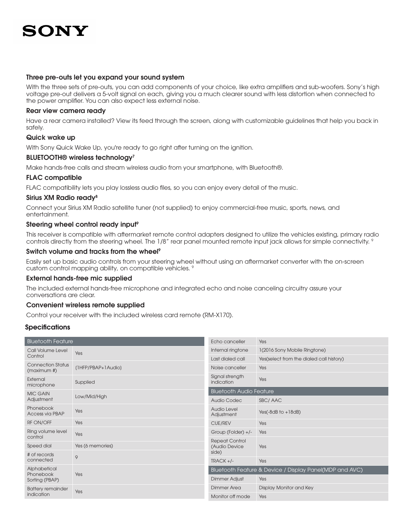#### Three pre-outs let you expand your sound system

With the three sets of pre-outs, you can add components of your choice, like extra amplifiers and sub-woofers. Sony's high voltage pre-out delivers a 5-volt signal on each, giving you a much clearer sound with less distortion when connected to the power amplifier. You can also expect less external noise.

#### Rear view camera ready

Have a rear camera installed? View its feed through the screen, along with customizable guidelines that help you back in safely.

#### Quick wake up

With Sony Quick Wake Up, you're ready to go right after turning on the ignition.

#### BLUETOOTH® wireless technology<sup>7</sup>

Make hands-free calls and stream wireless audio from your smartphone, with Bluetooth®.

#### FLAC compatible

FLAC compatibility lets you play lossless audio files, so you can enjoy every detail of the music.

#### Sirius XM Radio ready<sup>8</sup>

Connect your Sirius XM Radio satellite tuner (not supplied) to enjoy commercial-free music, sports, news, and entertainment.

#### Steering wheel control ready input<sup>9</sup>

This receiver is compatible with aftermarket remote control adapters designed to utilize the vehicles existing, primary radio controls directly from the steering wheel. The 1/8" rear panel mounted remote input jack allows for simple connectivity. 9

#### Switch volume and tracks from the wheel<sup>9</sup>

Easily set up basic audio controls from your steering wheel without using an aftermarket converter with the on-screen custom control mapping ability, on compatible vehicles. 9

#### External hands-free mic supplied

The included external hands-free microphone and integrated echo and noise canceling circuitry assure your conversations are clear.

#### Convenient wireless remote supplied

Control your receiver with the included wireless card remote (RM-X170).

#### **Specifications**

| <b>Bluetooth Feature</b>                    |                    | Echo canceller                                          | Yes                                      |
|---------------------------------------------|--------------------|---------------------------------------------------------|------------------------------------------|
| Call Volume Level<br>Control                | Yes                | Internal ringtone                                       | 1(2016 Sony Mobile Ringtone)             |
|                                             |                    | Last dialed call                                        | Yes(select from the dialed call history) |
| <b>Connection Status</b><br>(maximum #)     | (1HFP/PBAP+1Audio) | Noise canceller                                         | Yes                                      |
| External<br>microphone                      | Supplied           | Signal strength<br>indication                           | Yes                                      |
| <b>MIC GAIN</b>                             | Low/Mid/High       | <b>Bluetooth Audio Feature</b>                          |                                          |
| Adjustment                                  |                    | Audio Codec                                             | SBC/AAC                                  |
| Phonebook<br>Access via PBAP                | Yes                | Audio Level<br>Adjustment                               | Yes(-8dB to $+18dB$ )                    |
| RF ON/OFF                                   | Yes                | <b>CUE/REV</b>                                          | Yes                                      |
| Ring volume level<br>control                | Yes                | Group (Folder) +/-                                      | Yes                                      |
| Speed dial                                  | Yes (6 memories)   | <b>Repeat Control</b><br>(Audio Device                  | Yes                                      |
| # of records                                |                    | side)                                                   |                                          |
| connected                                   | 9                  | $TRACK +/-$                                             | Yes                                      |
| Alphabetical<br>Phonebook<br>Sorting (PBAP) | Yes                | Bluetooth Feature & Device / Display Panel(MDP and AVC) |                                          |
|                                             |                    | <b>Dimmer Adjust</b>                                    | Yes                                      |
| <b>Battery remainder</b><br>indication      | Yes                | <b>Dimmer Area</b>                                      | Display Monitor and Key                  |
|                                             |                    | Monitor off mode                                        | Yes                                      |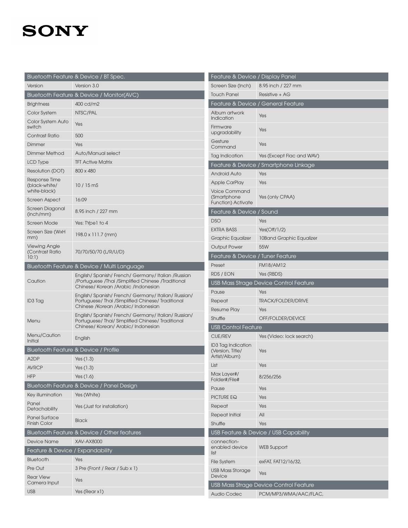|                                                  | Bluetooth Feature & Device / BT Spec.                                                                                                       |
|--------------------------------------------------|---------------------------------------------------------------------------------------------------------------------------------------------|
| Version                                          | Version 3.0                                                                                                                                 |
|                                                  | Bluetooth Feature & Device / Monitor(AVC)                                                                                                   |
| <b>Brightness</b>                                | 400 cd/m2                                                                                                                                   |
| Color System                                     | NTSC/PAL                                                                                                                                    |
| Color System Auto<br>switch                      | Yes                                                                                                                                         |
| Contrast Ratio                                   | 500                                                                                                                                         |
| Dimmer                                           | Yes                                                                                                                                         |
| Dimmer Method                                    | Auto/Manual select                                                                                                                          |
| <b>LCD Type</b>                                  | <b>TFT Active Matrix</b>                                                                                                                    |
| Resolution (DOT)                                 | 800 x 480                                                                                                                                   |
| Response Time<br>(black-white/<br>white-black)   | $10/15 \,\mathrm{m}$ S                                                                                                                      |
| Screen Aspect                                    | 16:09                                                                                                                                       |
| Screen Diagonal<br>(inch/mm)                     | 8.95 inch / 227 mm                                                                                                                          |
| Screen Mode                                      | Yes: TYpe1 to 4                                                                                                                             |
| Screen Size (WxH<br>mm)                          | 198.0 x 111.7 (mm)                                                                                                                          |
| <b>Viewing Angle</b><br>(Contrast Ratio<br>10:1) | 70/70/50/70 (L/R/U/D)                                                                                                                       |
|                                                  | Bluetooth Feature & Device / Multi Language                                                                                                 |
| Caution                                          | English/Spanish/French/Germany/Italian/Russian<br>/Portuguese /Thai /Simplified Chinese /Traditional<br>Chinese/ Korean /Arabic /Indonesian |
| ID3 Tag                                          | English/Spanish/French/Germany/Italian/Russian/<br>Portuguese/ Thai /Simplified Chinese/ Traditional<br>Chinese /Korean /Arabic/ Indonesian |
| Menu                                             | English/Spanish/French/Germany/Italian/Russian/<br>Portuguese/ Thai/ Simplified Chinese/ Traditional<br>Chinese/Korean/Arabic/Indonesian    |
| Menu/Caution<br>Initial                          | English                                                                                                                                     |
|                                                  | Bluetooth Feature & Device / Profile                                                                                                        |
| A <sub>2</sub> DP                                | Yes $(1.3)$                                                                                                                                 |
| <b>AVRCP</b>                                     | Yes $(1.3)$                                                                                                                                 |
| <b>HFP</b>                                       | Yes $(1.6)$                                                                                                                                 |
|                                                  | Bluetooth Feature & Device / Panel Design                                                                                                   |
| Key illumination                                 | Yes (White)                                                                                                                                 |
| Panel<br>Detachability                           | Yes (Just for installation)                                                                                                                 |
| <b>Panel Surface</b><br><b>Finish Color</b>      | <b>Black</b>                                                                                                                                |
|                                                  | Bluetooth Feature & Device / Other features                                                                                                 |
| <b>Device Name</b>                               | <b>XAV-AX8000</b>                                                                                                                           |
| Feature & Device / Expandability                 |                                                                                                                                             |
| Bluetooth                                        | Yes                                                                                                                                         |
| Pre Out                                          | 3 Pre (Front / Rear / Sub x 1)                                                                                                              |
| <b>Rear View</b><br>Camera Input                 | Yes                                                                                                                                         |
| <b>USB</b>                                       | Yes (Rear x1)                                                                                                                               |

| Feature & Device / Display Panel                                 |                                        |  |  |  |  |
|------------------------------------------------------------------|----------------------------------------|--|--|--|--|
| Screen Size (Inch)                                               | 8.95 inch / 227 mm                     |  |  |  |  |
| <b>Touch Panel</b>                                               | Resistive + AG                         |  |  |  |  |
| Feature & Device / General Feature                               |                                        |  |  |  |  |
| Album artwork<br>Indication                                      | Yes                                    |  |  |  |  |
| Firmware<br>upgradability                                        | Yes                                    |  |  |  |  |
| Gesture<br>Command                                               | Yes                                    |  |  |  |  |
| Tag Indication                                                   | Yes (Except Flac and WAV)              |  |  |  |  |
| Feature & Device / Smartphone Linkage                            |                                        |  |  |  |  |
| <b>Android Auto</b>                                              | Yes                                    |  |  |  |  |
| <b>Apple CarPlay</b>                                             | Yes                                    |  |  |  |  |
| <b>Voice Command</b><br>(Smartphone<br><b>Function) Activate</b> | Yes (only CPAA)                        |  |  |  |  |
| Feature & Device / Sound                                         |                                        |  |  |  |  |
| <b>DSO</b>                                                       | Yes                                    |  |  |  |  |
| <b>EXTRA BASS</b>                                                | Yes(Off/1/2)                           |  |  |  |  |
| <b>Graphic Equalizer</b>                                         | 10Band Graphic Equalizer               |  |  |  |  |
| <b>Output Power</b>                                              | 55 <sub>W</sub>                        |  |  |  |  |
| Feature & Device / Tuner Feature                                 |                                        |  |  |  |  |
| Preset                                                           | <b>FM18/AM12</b>                       |  |  |  |  |
| RDS / EON                                                        | Yes (RBDS)                             |  |  |  |  |
|                                                                  | USB Mass Strage Device Control Feature |  |  |  |  |
| Pause                                                            | Yes                                    |  |  |  |  |
| Repeat                                                           | <b>TRACK/FOLDER/DRIVE</b>              |  |  |  |  |
| Resume Play                                                      | Yes                                    |  |  |  |  |
| Shuffle                                                          | OFF/FOLDER/DEVICE                      |  |  |  |  |
| <b>USB Control Feature</b>                                       |                                        |  |  |  |  |
| <b>CUE/REV</b>                                                   | Yes (Video: lock search)               |  |  |  |  |
| <b>ID3 Tag Indication</b><br>(Version, Title/<br>Artist/Album)   | Yes                                    |  |  |  |  |
| List                                                             | Yes                                    |  |  |  |  |
| Max Layer#/<br>Folder#/File#                                     | 8/256/256                              |  |  |  |  |
| Pause                                                            | Yes                                    |  |  |  |  |
| PICTURE EQ                                                       | Yes                                    |  |  |  |  |
| Repeat                                                           | Yes                                    |  |  |  |  |
| Repeat Initial                                                   | All                                    |  |  |  |  |
| Shuffle                                                          | Yes                                    |  |  |  |  |
| USB Feature & Device / USB Capability                            |                                        |  |  |  |  |
| connection-<br>enabled device<br>list                            | <b>WEB Support</b>                     |  |  |  |  |
| <b>File System</b>                                               | exFAT, FAT12/16/32,                    |  |  |  |  |
| <b>USB Mass Storage</b><br>Device                                | Yes                                    |  |  |  |  |
| USB Mass Strage Device Control Feature                           |                                        |  |  |  |  |
| <b>Audio Codec</b>                                               | PCM/MP3/WMA/AAC/FLAC,                  |  |  |  |  |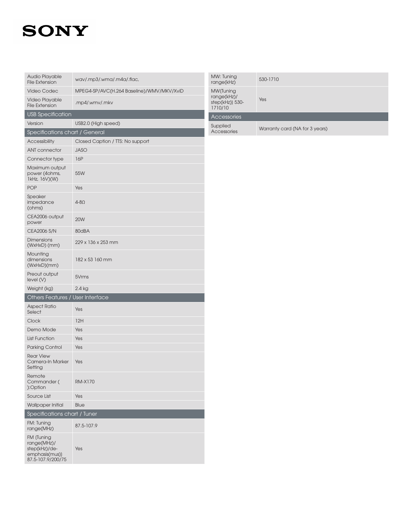| <b>Audio Playable</b><br><b>File Extension</b>                                    | wav/.mp3/.wma/.m4a/.flac,                 |  |  |  |  |
|-----------------------------------------------------------------------------------|-------------------------------------------|--|--|--|--|
| <b>Video Codec</b>                                                                | MPEG4-SP/AVC(H.264 Baseline)/WMV/MKV/XviD |  |  |  |  |
| Video Playable<br><b>File Extension</b>                                           | .mp4/.wmv/.mkv                            |  |  |  |  |
| <b>USB Specification</b>                                                          |                                           |  |  |  |  |
| Version                                                                           | USB2.0 (High speed)                       |  |  |  |  |
| Specifications chart / General                                                    |                                           |  |  |  |  |
| <b>Accessibility</b>                                                              | Closed Caption / TTS: No support          |  |  |  |  |
| <b>ANT</b> connector                                                              | <b>JASO</b>                               |  |  |  |  |
| Connector type                                                                    | 16P                                       |  |  |  |  |
| Maximum output<br>power (4ohms,<br>1kHz, 16V)(W)                                  | 55W                                       |  |  |  |  |
| <b>POP</b>                                                                        | Yes                                       |  |  |  |  |
| Speaker<br>impedance<br>(ohms)                                                    | $4 - 8\Omega$                             |  |  |  |  |
| CEA2006 output<br>power                                                           | <b>20W</b>                                |  |  |  |  |
| <b>CEA2006 S/N</b>                                                                | 80dBA                                     |  |  |  |  |
| <b>Dimensions</b><br>(WxHxD) (mm)                                                 | 229 x 136 x 253 mm                        |  |  |  |  |
| Mounting<br>dimensions<br>(WxHxD)(mm)                                             | 182 x 53 160 mm                           |  |  |  |  |
| Preout output<br>level (V)                                                        | 5Vrms                                     |  |  |  |  |
| Weight (kg)                                                                       | 2.4 kg                                    |  |  |  |  |
| Others Features / User Interface                                                  |                                           |  |  |  |  |
| <b>Aspect Ratio</b><br>Select                                                     | Yes                                       |  |  |  |  |
| Clock                                                                             | 12H                                       |  |  |  |  |
| Demo Mode                                                                         | Yes                                       |  |  |  |  |
| <b>List Function</b>                                                              | Yes                                       |  |  |  |  |
| <b>Parking Control</b>                                                            | Yes                                       |  |  |  |  |
| <b>Rear View</b><br>Camera-In Marker<br>Setting                                   | Yes                                       |  |  |  |  |
| Remote<br>Commander (<br>):Option                                                 | RM-X170                                   |  |  |  |  |
| Source List                                                                       | Yes                                       |  |  |  |  |
| Wallpaper Initial                                                                 | Blue                                      |  |  |  |  |
| Specifications chart / Tuner                                                      |                                           |  |  |  |  |
| FM: Tuning<br>range(MHz)                                                          | 87.5-107.9                                |  |  |  |  |
| FM (Tuning<br>range(MHz)/<br>step(kHz)/de-<br>emphasis(mus))<br>87.5-107.9/200/75 | Yes                                       |  |  |  |  |

| MW: Tuning<br>range(kHz)                                | 530-1710                       |  |
|---------------------------------------------------------|--------------------------------|--|
| MW (Tuning<br>range(kHz)/<br>step(kHz)) 530-<br>1710/10 | Yes                            |  |
| Accessories                                             |                                |  |
| Supplied<br>Accessories                                 | Warranty card (NA for 3 years) |  |